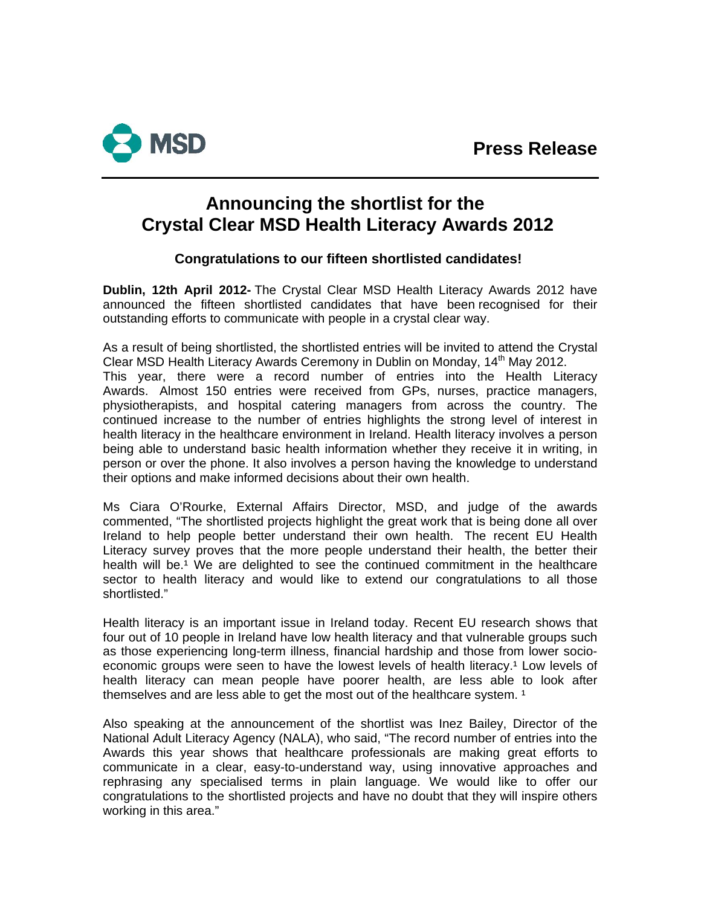

# **Announcing the shortlist for the Crystal Clear MSD Health Literacy Awards 2012**

### **Congratulations to our fifteen shortlisted candidates!**

**Dublin, 12th April 2012-** The Crystal Clear MSD Health Literacy Awards 2012 have announced the fifteen shortlisted candidates that have been recognised for their outstanding efforts to communicate with people in a crystal clear way.

As a result of being shortlisted, the shortlisted entries will be invited to attend the Crystal Clear MSD Health Literacy Awards Ceremony in Dublin on Monday, 14<sup>th</sup> May 2012. This year, there were a record number of entries into the Health Literacy Awards. Almost 150 entries were received from GPs, nurses, practice managers, physiotherapists, and hospital catering managers from across the country. The continued increase to the number of entries highlights the strong level of interest in health literacy in the healthcare environment in Ireland. Health literacy involves a person being able to understand basic health information whether they receive it in writing, in person or over the phone. It also involves a person having the knowledge to understand their options and make informed decisions about their own health.

Ms Ciara O'Rourke, External Affairs Director, MSD, and judge of the awards commented, "The shortlisted projects highlight the great work that is being done all over Ireland to help people better understand their own health. The recent EU Health Literacy survey proves that the more people understand their health, the better their health will be.<sup>1</sup> We are delighted to see the continued commitment in the healthcare sector to health literacy and would like to extend our congratulations to all those shortlisted."

Health literacy is an important issue in Ireland today. Recent EU research shows that four out of 10 people in Ireland have low health literacy and that vulnerable groups such as those experiencing long-term illness, financial hardship and those from lower socioeconomic groups were seen to have the lowest levels of health literacy.<sup>1</sup> Low levels of health literacy can mean people have poorer health, are less able to look after themselves and are less able to get the most out of the healthcare system.<sup>1</sup>

Also speaking at the announcement of the shortlist was Inez Bailey, Director of the National Adult Literacy Agency (NALA), who said, "The record number of entries into the Awards this year shows that healthcare professionals are making great efforts to communicate in a clear, easy-to-understand way, using innovative approaches and rephrasing any specialised terms in plain language. We would like to offer our congratulations to the shortlisted projects and have no doubt that they will inspire others working in this area."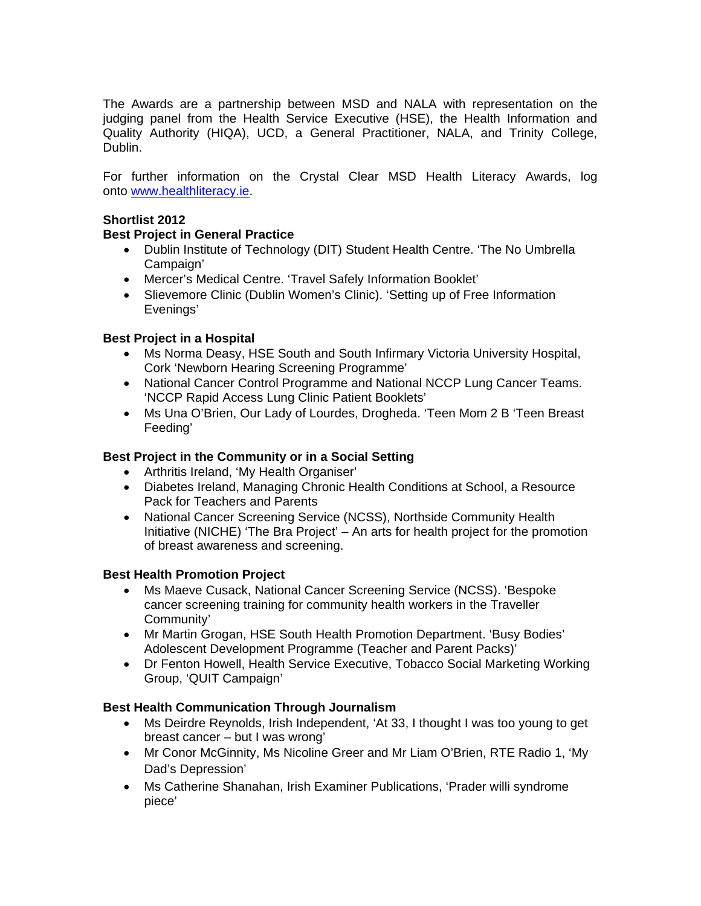The Awards are a partnership between MSD and NALA with representation on the judging panel from the Health Service Executive (HSE), the Health Information and Quality Authority (HIQA), UCD, a General Practitioner, NALA, and Trinity College, Dublin.

For further information on the Crystal Clear MSD Health Literacy Awards, log onto [www.healthliteracy.ie.](http://www.healthliteracy.ie/)

#### **Shortlist 2012**

#### **Best Project in General Practice**

- Dublin Institute of Technology (DIT) Student Health Centre. 'The No Umbrella Campaign'
- Mercer's Medical Centre. 'Travel Safely Information Booklet'
- Slievemore Clinic (Dublin Women's Clinic). 'Setting up of Free Information Evenings'

#### **Best Project in a Hospital**

- Ms Norma Deasy, HSE South and South Infirmary Victoria University Hospital, Cork 'Newborn Hearing Screening Programme'
- National Cancer Control Programme and National NCCP Lung Cancer Teams. 'NCCP Rapid Access Lung Clinic Patient Booklets'
- Ms Una O'Brien, Our Lady of Lourdes, Drogheda. 'Teen Mom 2 B 'Teen Breast Feeding'

#### **Best Project in the Community or in a Social Setting**

- Arthritis Ireland, 'My Health Organiser'
- Diabetes Ireland, Managing Chronic Health Conditions at School, a Resource Pack for Teachers and Parents
- National Cancer Screening Service (NCSS), Northside Community Health Initiative (NICHE) 'The Bra Project' – An arts for health project for the promotion of breast awareness and screening.

#### **Best Health Promotion Project**

- Ms Maeve Cusack, National Cancer Screening Service (NCSS). 'Bespoke cancer screening training for community health workers in the Traveller Community'
- Mr Martin Grogan, HSE South Health Promotion Department. 'Busy Bodies' Adolescent Development Programme (Teacher and Parent Packs)'
- Dr Fenton Howell, Health Service Executive, Tobacco Social Marketing Working Group, 'QUIT Campaign'

#### **Best Health Communication Through Journalism**

- Ms Deirdre Reynolds, Irish Independent, 'At 33, I thought I was too young to get breast cancer – but I was wrong'
- Mr Conor McGinnity, Ms Nicoline Greer and Mr Liam O'Brien, RTE Radio 1, 'My Dad's Depression'
- Ms Catherine Shanahan, Irish Examiner Publications, 'Prader willi syndrome piece'